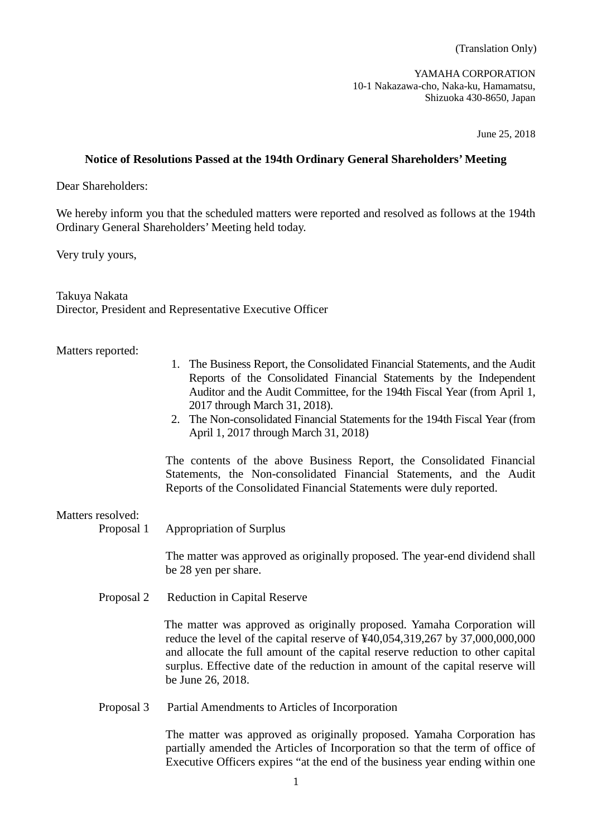YAMAHA CORPORATION 10-1 Nakazawa-cho, Naka-ku, Hamamatsu, Shizuoka 430-8650, Japan

June 25, 2018

## **Notice of Resolutions Passed at the 194th Ordinary General Shareholders' Meeting**

Dear Shareholders:

We hereby inform you that the scheduled matters were reported and resolved as follows at the 194th Ordinary General Shareholders' Meeting held today.

Very truly yours,

Takuya Nakata Director, President and Representative Executive Officer

## Matters reported:

- 1. The Business Report, the Consolidated Financial Statements, and the Audit Reports of the Consolidated Financial Statements by the Independent Auditor and the Audit Committee, for the 194th Fiscal Year (from April 1, 2017 through March 31, 2018).
- 2. The Non-consolidated Financial Statements for the 194th Fiscal Year (from April 1, 2017 through March 31, 2018)

The contents of the above Business Report, the Consolidated Financial Statements, the Non-consolidated Financial Statements, and the Audit Reports of the Consolidated Financial Statements were duly reported.

## Matters resolved:

Proposal 1 Appropriation of Surplus

The matter was approved as originally proposed. The year-end dividend shall be 28 yen per share.

Proposal 2 Reduction in Capital Reserve

 The matter was approved as originally proposed. Yamaha Corporation will reduce the level of the capital reserve of ¥40,054,319,267 by 37,000,000,000 and allocate the full amount of the capital reserve reduction to other capital surplus. Effective date of the reduction in amount of the capital reserve will be June 26, 2018.

Proposal 3 Partial Amendments to Articles of Incorporation

The matter was approved as originally proposed. Yamaha Corporation has partially amended the Articles of Incorporation so that the term of office of Executive Officers expires "at the end of the business year ending within one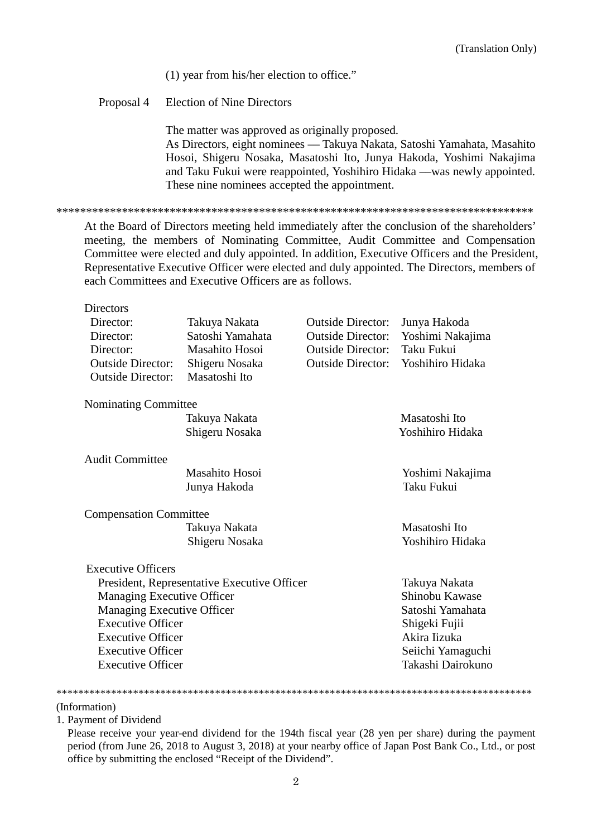(1) year from his/her election to office."

**Election of Nine Directors** Proposal 4

> The matter was approved as originally proposed. As Directors, eight nominees — Takuya Nakata, Satoshi Yamahata, Masahito Hosoi, Shigeru Nosaka, Masatoshi Ito, Junya Hakoda, Yoshimi Nakajima and Taku Fukui were reappointed, Yoshihiro Hidaka —was newly appointed. These nine nominees accepted the appointment.

At the Board of Directors meeting held immediately after the conclusion of the shareholders' meeting, the members of Nominating Committee, Audit Committee and Compensation Committee were elected and duly appointed. In addition, Executive Officers and the President, Representative Executive Officer were elected and duly appointed. The Directors, members of each Committees and Executive Officers are as follows.

| Directors                                   |                  |                          |                   |
|---------------------------------------------|------------------|--------------------------|-------------------|
| Director:                                   | Takuya Nakata    | <b>Outside Director:</b> | Junya Hakoda      |
| Director:                                   | Satoshi Yamahata | <b>Outside Director:</b> | Yoshimi Nakajima  |
| Director:                                   | Masahito Hosoi   | <b>Outside Director:</b> | Taku Fukui        |
| <b>Outside Director:</b>                    | Shigeru Nosaka   | <b>Outside Director:</b> | Yoshihiro Hidaka  |
| <b>Outside Director:</b>                    | Masatoshi Ito    |                          |                   |
| Nominating Committee                        |                  |                          |                   |
|                                             | Takuya Nakata    |                          | Masatoshi Ito     |
|                                             | Shigeru Nosaka   |                          | Yoshihiro Hidaka  |
|                                             |                  |                          |                   |
| <b>Audit Committee</b>                      |                  |                          |                   |
|                                             | Masahito Hosoi   |                          | Yoshimi Nakajima  |
|                                             | Junya Hakoda     |                          | Taku Fukui        |
| <b>Compensation Committee</b>               |                  |                          |                   |
|                                             | Takuya Nakata    |                          | Masatoshi Ito     |
|                                             | Shigeru Nosaka   |                          | Yoshihiro Hidaka  |
|                                             |                  |                          |                   |
| <b>Executive Officers</b>                   |                  |                          |                   |
| President, Representative Executive Officer |                  |                          | Takuya Nakata     |
| Managing Executive Officer                  |                  |                          | Shinobu Kawase    |
| Managing Executive Officer                  |                  |                          | Satoshi Yamahata  |
| <b>Executive Officer</b>                    |                  |                          | Shigeki Fujii     |
| <b>Executive Officer</b>                    |                  |                          | Akira Iizuka      |
| <b>Executive Officer</b>                    |                  |                          | Seiichi Yamaguchi |
| <b>Executive Officer</b>                    |                  |                          | Takashi Dairokuno |

## 

(Information)

1. Payment of Dividend

Please receive your year-end dividend for the 194th fiscal year (28 yen per share) during the payment period (from June 26, 2018 to August 3, 2018) at your nearby office of Japan Post Bank Co., Ltd., or post office by submitting the enclosed "Receipt of the Dividend".